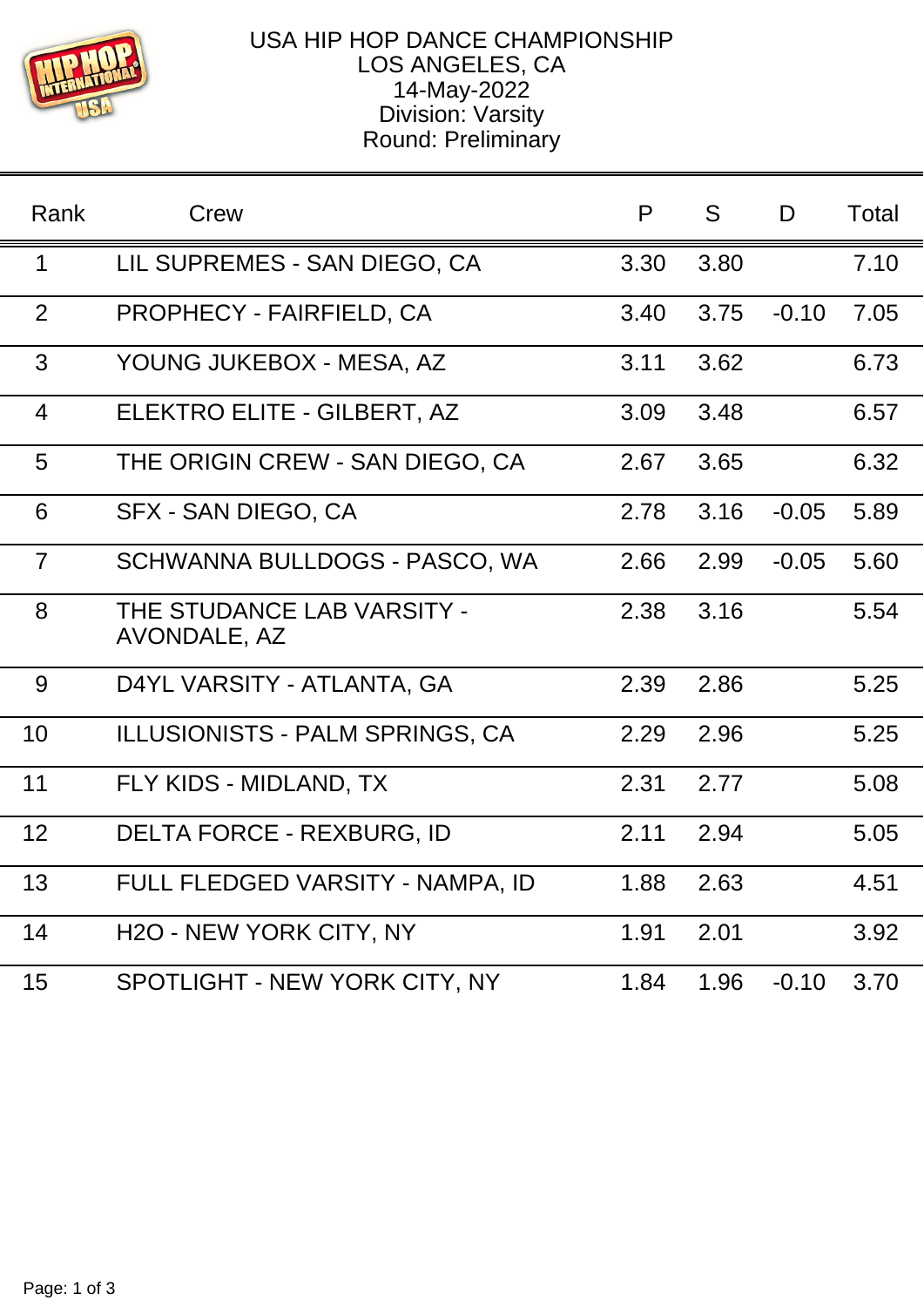

## USA HIP HOP DANCE CHAMPIONSHIP LOS ANGELES, CA 14-May-2022 Division: Varsity Round: Preliminary

| Rank           | Crew                                       | P    | S.   | D       | Total |
|----------------|--------------------------------------------|------|------|---------|-------|
| 1              | LIL SUPREMES - SAN DIEGO, CA               | 3.30 | 3.80 |         | 7.10  |
| 2              | <b>PROPHECY - FAIRFIELD, CA</b>            | 3.40 | 3.75 | $-0.10$ | 7.05  |
| 3              | YOUNG JUKEBOX - MESA, AZ                   | 3.11 | 3.62 |         | 6.73  |
| $\overline{4}$ | ELEKTRO ELITE - GILBERT, AZ                | 3.09 | 3.48 |         | 6.57  |
| 5              | THE ORIGIN CREW - SAN DIEGO, CA            | 2.67 | 3.65 |         | 6.32  |
| 6              | SFX - SAN DIEGO, CA                        | 2.78 | 3.16 | $-0.05$ | 5.89  |
| $\overline{7}$ | SCHWANNA BULLDOGS - PASCO, WA              | 2.66 | 2.99 | $-0.05$ | 5.60  |
| 8              | THE STUDANCE LAB VARSITY -<br>AVONDALE, AZ | 2.38 | 3.16 |         | 5.54  |
| 9              | D4YL VARSITY - ATLANTA, GA                 | 2.39 | 2.86 |         | 5.25  |
| 10             | ILLUSIONISTS - PALM SPRINGS, CA            | 2.29 | 2.96 |         | 5.25  |
| 11             | FLY KIDS - MIDLAND, TX                     | 2.31 | 2.77 |         | 5.08  |
| 12             | DELTA FORCE - REXBURG, ID                  | 2.11 | 2.94 |         | 5.05  |
| 13             | FULL FLEDGED VARSITY - NAMPA, ID           | 1.88 | 2.63 |         | 4.51  |
| 14             | H <sub>2</sub> O - NEW YORK CITY, NY       | 1.91 | 2.01 |         | 3.92  |
| 15             | SPOTLIGHT - NEW YORK CITY, NY              | 1.84 | 1.96 | $-0.10$ | 3.70  |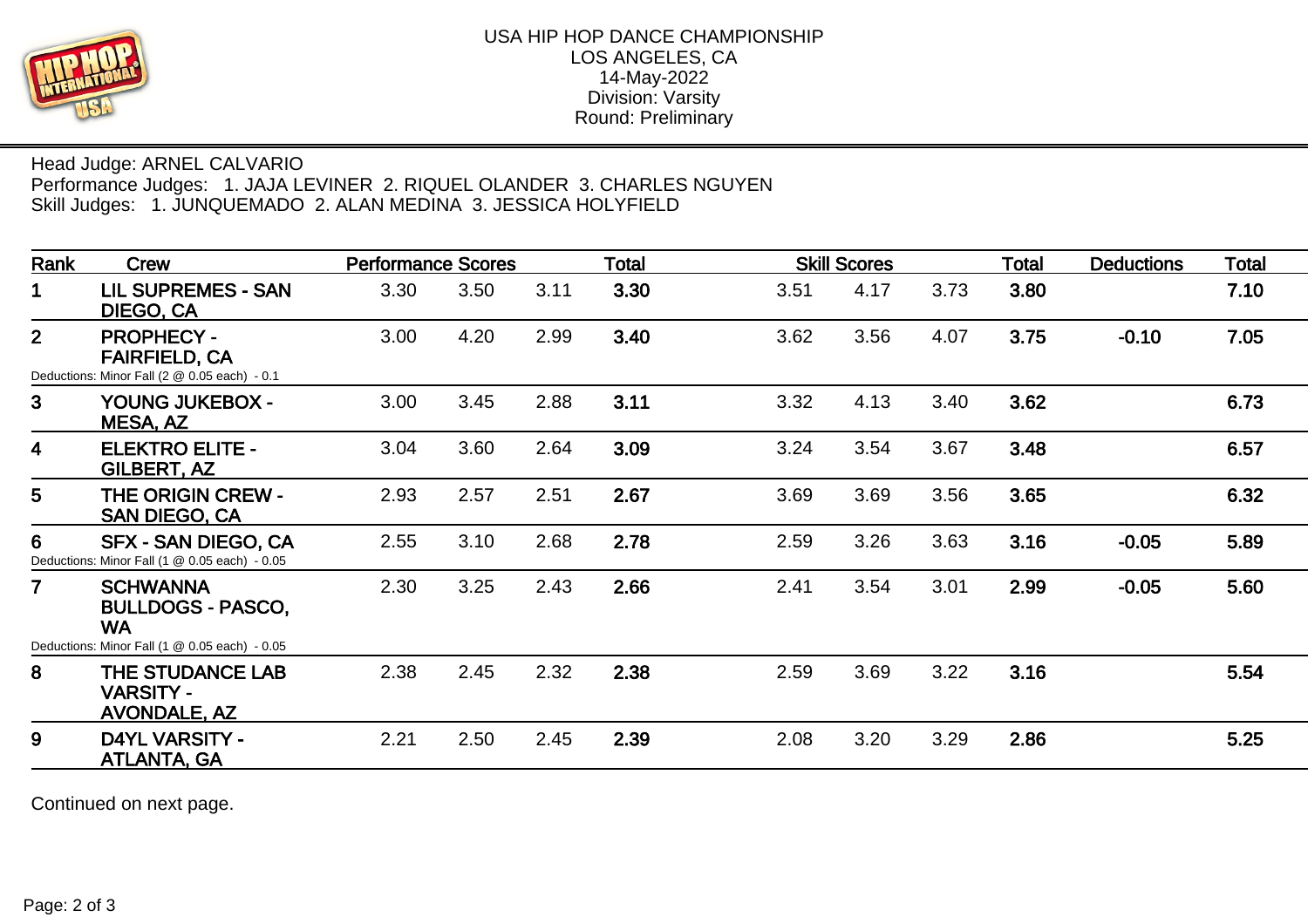

## Head Judge: ARNEL CALVARIO Performance Judges: 1. JAJA LEVINER 2. RIQUEL OLANDER 3. CHARLES NGUYEN Skill Judges: 1. JUNQUEMADO 2. ALAN MEDINA 3. JESSICA HOLYFIELD

| Rank                    | <b>Crew</b><br><b>LIL SUPREMES - SAN</b><br>DIEGO, CA                                                        | <b>Performance Scores</b> |      |      | Total | <b>Skill Scores</b> |      |      | <b>Total</b> | <b>Deductions</b> | <b>Total</b> |
|-------------------------|--------------------------------------------------------------------------------------------------------------|---------------------------|------|------|-------|---------------------|------|------|--------------|-------------------|--------------|
| 1                       |                                                                                                              | 3.30                      | 3.50 | 3.11 | 3.30  | 3.51                | 4.17 | 3.73 | 3.80         |                   | 7.10         |
| 2 <sup>1</sup>          | <b>PROPHECY -</b><br><b>FAIRFIELD, CA</b><br>Deductions: Minor Fall (2 @ 0.05 each) - 0.1                    | 3.00                      | 4.20 | 2.99 | 3.40  | 3.62                | 3.56 | 4.07 | 3.75         | $-0.10$           | 7.05         |
| 3 <sup>1</sup>          | YOUNG JUKEBOX -<br>MESA, AZ                                                                                  | 3.00                      | 3.45 | 2.88 | 3.11  | 3.32                | 4.13 | 3.40 | 3.62         |                   | 6.73         |
| $\overline{\mathbf{4}}$ | <b>ELEKTRO ELITE -</b><br>GILBERT, AZ                                                                        | 3.04                      | 3.60 | 2.64 | 3.09  | 3.24                | 3.54 | 3.67 | 3.48         |                   | 6.57         |
| 5                       | <b>THE ORIGIN CREW -</b><br><b>SAN DIEGO, CA</b>                                                             | 2.93                      | 2.57 | 2.51 | 2.67  | 3.69                | 3.69 | 3.56 | 3.65         |                   | 6.32         |
| 6                       | <b>SFX - SAN DIEGO, CA</b><br>Deductions: Minor Fall (1 @ 0.05 each) - 0.05                                  | 2.55                      | 3.10 | 2.68 | 2.78  | 2.59                | 3.26 | 3.63 | 3.16         | $-0.05$           | 5.89         |
| $\overline{7}$          | <b>SCHWANNA</b><br><b>BULLDOGS - PASCO,</b><br><b>WA</b>                                                     | 2.30                      | 3.25 | 2.43 | 2.66  | 2.41                | 3.54 | 3.01 | 2.99         | $-0.05$           | 5.60         |
| 8                       | Deductions: Minor Fall (1 @ 0.05 each) - 0.05<br>THE STUDANCE LAB<br><b>VARSITY -</b><br><b>AVONDALE, AZ</b> | 2.38                      | 2.45 | 2.32 | 2.38  | 2.59                | 3.69 | 3.22 | 3.16         |                   | 5.54         |
| 9                       | <b>D4YL VARSITY -</b><br><b>ATLANTA, GA</b>                                                                  | 2.21                      | 2.50 | 2.45 | 2.39  | 2.08                | 3.20 | 3.29 | 2.86         |                   | 5.25         |

Continued on next page.